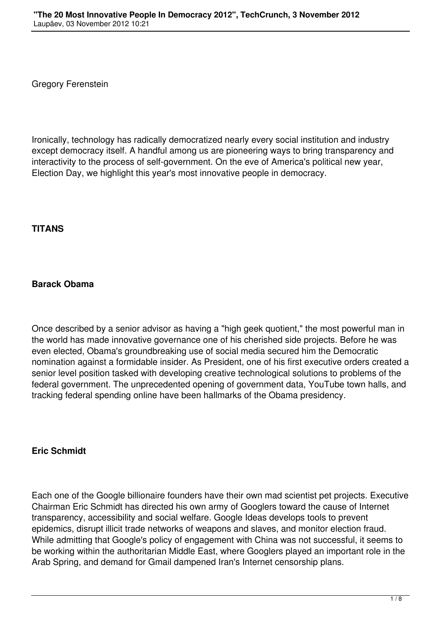Gregory Ferenstein

Ironically, technology has radically democratized nearly every social institution and industry except democracy itself. A handful among us are pioneering ways to bring transparency and interactivity to the process of self-government. On the eve of America's political new year, Election Day, we highlight this year's most innovative people in democracy.

#### **TITANS**

### **Barack Obama**

Once described by a senior advisor as having a "high geek quotient," the most powerful man in the world has made innovative governance one of his cherished side projects. Before he was even elected, Obama's groundbreaking use of social media secured him the Democratic nomination against a formidable insider. As President, one of his first executive orders created a senior level position tasked with developing creative technological solutions to problems of the federal government. The unprecedented opening of government data, YouTube town halls, and tracking federal spending online have been hallmarks of the Obama presidency.

#### **Eric Schmidt**

Each one of the Google billionaire founders have their own mad scientist pet projects. Executive Chairman Eric Schmidt has directed his own army of Googlers toward the cause of Internet transparency, accessibility and social welfare. Google Ideas develops tools to prevent epidemics, disrupt illicit trade networks of weapons and slaves, and monitor election fraud. While admitting that Google's policy of engagement with China was not successful, it seems to be working within the authoritarian Middle East, where Googlers played an important role in the Arab Spring, and demand for Gmail dampened Iran's Internet censorship plans.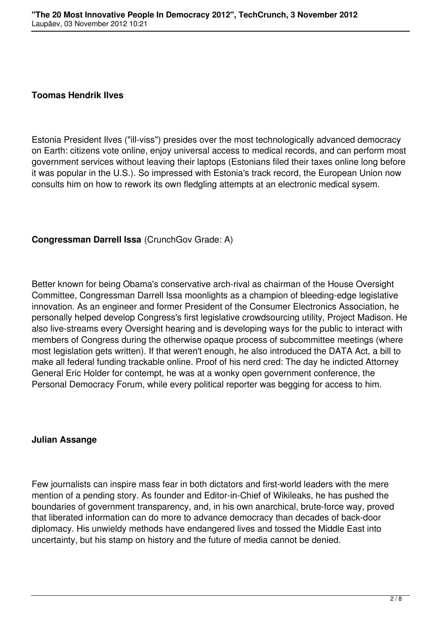#### **Toomas Hendrik Ilves**

Estonia President Ilves ("ill-viss") presides over the most technologically advanced democracy on Earth: citizens vote online, enjoy universal access to medical records, and can perform most government services without leaving their laptops (Estonians filed their taxes online long before it was popular in the U.S.). So impressed with Estonia's track record, the European Union now consults him on how to rework its own fledgling attempts at an electronic medical sysem.

### **Congressman Darrell Issa** (CrunchGov Grade: A)

Better known for being Obama's conservative arch-rival as chairman of the House Oversight Committee, Congressman Darrell Issa moonlights as a champion of bleeding-edge legislative innovation. As an engineer and former President of the Consumer Electronics Association, he personally helped develop Congress's first legislative crowdsourcing utility, Project Madison. He also live-streams every Oversight hearing and is developing ways for the public to interact with members of Congress during the otherwise opaque process of subcommittee meetings (where most legislation gets written). If that weren't enough, he also introduced the DATA Act, a bill to make all federal funding trackable online. Proof of his nerd cred: The day he indicted Attorney General Eric Holder for contempt, he was at a wonky open government conference, the Personal Democracy Forum, while every political reporter was begging for access to him.

#### **Julian Assange**

Few journalists can inspire mass fear in both dictators and first-world leaders with the mere mention of a pending story. As founder and Editor-in-Chief of Wikileaks, he has pushed the boundaries of government transparency, and, in his own anarchical, brute-force way, proved that liberated information can do more to advance democracy than decades of back-door diplomacy. His unwieldy methods have endangered lives and tossed the Middle East into uncertainty, but his stamp on history and the future of media cannot be denied.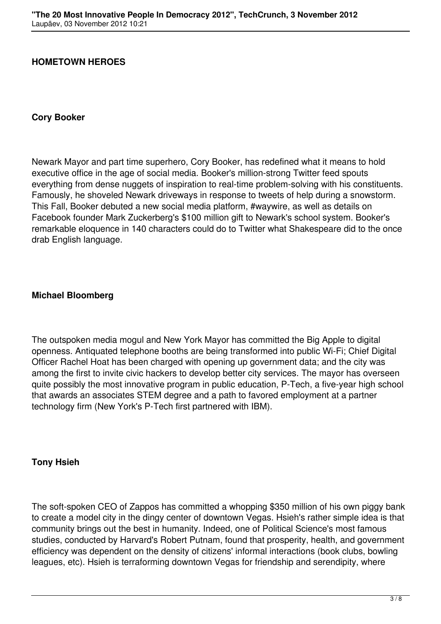### **HOMETOWN HEROES**

#### **Cory Booker**

Newark Mayor and part time superhero, Cory Booker, has redefined what it means to hold executive office in the age of social media. Booker's million-strong Twitter feed spouts everything from dense nuggets of inspiration to real-time problem-solving with his constituents. Famously, he shoveled Newark driveways in response to tweets of help during a snowstorm. This Fall, Booker debuted a new social media platform, #waywire, as well as details on Facebook founder Mark Zuckerberg's \$100 million gift to Newark's school system. Booker's remarkable eloquence in 140 characters could do to Twitter what Shakespeare did to the once drab English language.

#### **Michael Bloomberg**

The outspoken media mogul and New York Mayor has committed the Big Apple to digital openness. Antiquated telephone booths are being transformed into public Wi-Fi; Chief Digital Officer Rachel Hoat has been charged with opening up government data; and the city was among the first to invite civic hackers to develop better city services. The mayor has overseen quite possibly the most innovative program in public education, P-Tech, a five-year high school that awards an associates STEM degree and a path to favored employment at a partner technology firm (New York's P-Tech first partnered with IBM).

#### **Tony Hsieh**

The soft-spoken CEO of Zappos has committed a whopping \$350 million of his own piggy bank to create a model city in the dingy center of downtown Vegas. Hsieh's rather simple idea is that community brings out the best in humanity. Indeed, one of Political Science's most famous studies, conducted by Harvard's Robert Putnam, found that prosperity, health, and government efficiency was dependent on the density of citizens' informal interactions (book clubs, bowling leagues, etc). Hsieh is terraforming downtown Vegas for friendship and serendipity, where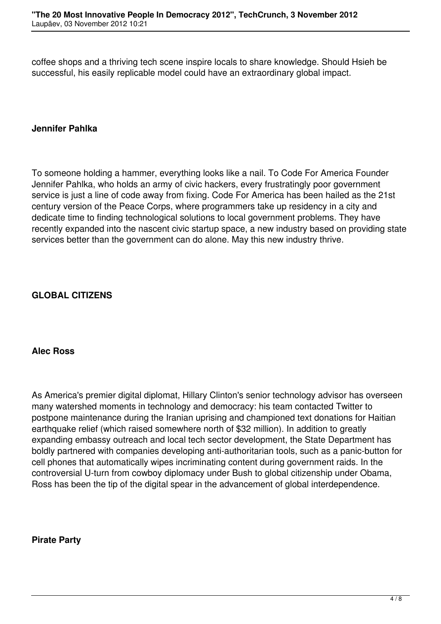coffee shops and a thriving tech scene inspire locals to share knowledge. Should Hsieh be successful, his easily replicable model could have an extraordinary global impact.

### **Jennifer Pahlka**

To someone holding a hammer, everything looks like a nail. To Code For America Founder Jennifer Pahlka, who holds an army of civic hackers, every frustratingly poor government service is just a line of code away from fixing. Code For America has been hailed as the 21st century version of the Peace Corps, where programmers take up residency in a city and dedicate time to finding technological solutions to local government problems. They have recently expanded into the nascent civic startup space, a new industry based on providing state services better than the government can do alone. May this new industry thrive.

## **GLOBAL CITIZENS**

### **Alec Ross**

As America's premier digital diplomat, Hillary Clinton's senior technology advisor has overseen many watershed moments in technology and democracy: his team contacted Twitter to postpone maintenance during the Iranian uprising and championed text donations for Haitian earthquake relief (which raised somewhere north of \$32 million). In addition to greatly expanding embassy outreach and local tech sector development, the State Department has boldly partnered with companies developing anti-authoritarian tools, such as a panic-button for cell phones that automatically wipes incriminating content during government raids. In the controversial U-turn from cowboy diplomacy under Bush to global citizenship under Obama, Ross has been the tip of the digital spear in the advancement of global interdependence.

#### **Pirate Party**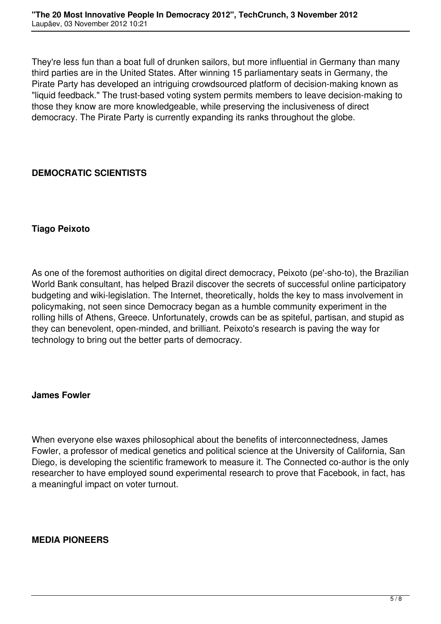They're less fun than a boat full of drunken sailors, but more influential in Germany than many third parties are in the United States. After winning 15 parliamentary seats in Germany, the Pirate Party has developed an intriguing crowdsourced platform of decision-making known as "liquid feedback." The trust-based voting system permits members to leave decision-making to those they know are more knowledgeable, while preserving the inclusiveness of direct democracy. The Pirate Party is currently expanding its ranks throughout the globe.

# **DEMOCRATIC SCIENTISTS**

## **Tiago Peixoto**

As one of the foremost authorities on digital direct democracy, Peixoto (pe'-sho-to), the Brazilian World Bank consultant, has helped Brazil discover the secrets of successful online participatory budgeting and wiki-legislation. The Internet, theoretically, holds the key to mass involvement in policymaking, not seen since Democracy began as a humble community experiment in the rolling hills of Athens, Greece. Unfortunately, crowds can be as spiteful, partisan, and stupid as they can benevolent, open-minded, and brilliant. Peixoto's research is paving the way for technology to bring out the better parts of democracy.

### **James Fowler**

When everyone else waxes philosophical about the benefits of interconnectedness, James Fowler, a professor of medical genetics and political science at the University of California, San Diego, is developing the scientific framework to measure it. The Connected co-author is the only researcher to have employed sound experimental research to prove that Facebook, in fact, has a meaningful impact on voter turnout.

### **MEDIA PIONEERS**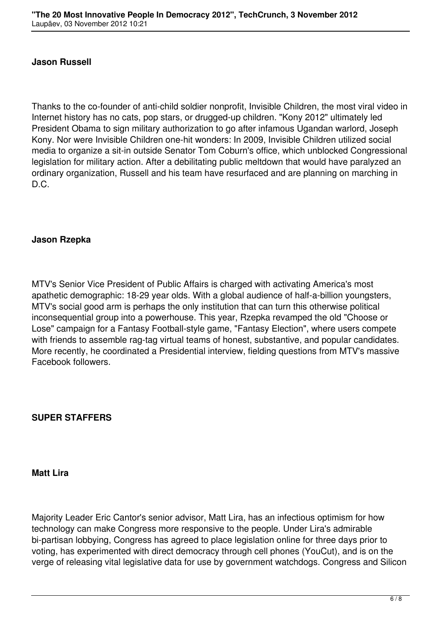### **Jason Russell**

Thanks to the co-founder of anti-child soldier nonprofit, Invisible Children, the most viral video in Internet history has no cats, pop stars, or drugged-up children. "Kony 2012" ultimately led President Obama to sign military authorization to go after infamous Ugandan warlord, Joseph Kony. Nor were Invisible Children one-hit wonders: In 2009, Invisible Children utilized social media to organize a sit-in outside Senator Tom Coburn's office, which unblocked Congressional legislation for military action. After a debilitating public meltdown that would have paralyzed an ordinary organization, Russell and his team have resurfaced and are planning on marching in D.C.

### **Jason Rzepka**

MTV's Senior Vice President of Public Affairs is charged with activating America's most apathetic demographic: 18-29 year olds. With a global audience of half-a-billion youngsters, MTV's social good arm is perhaps the only institution that can turn this otherwise political inconsequential group into a powerhouse. This year, Rzepka revamped the old "Choose or Lose" campaign for a Fantasy Football-style game, "Fantasy Election", where users compete with friends to assemble rag-tag virtual teams of honest, substantive, and popular candidates. More recently, he coordinated a Presidential interview, fielding questions from MTV's massive Facebook followers.

# **SUPER STAFFERS**

#### **Matt Lira**

Majority Leader Eric Cantor's senior advisor, Matt Lira, has an infectious optimism for how technology can make Congress more responsive to the people. Under Lira's admirable bi-partisan lobbying, Congress has agreed to place legislation online for three days prior to voting, has experimented with direct democracy through cell phones (YouCut), and is on the verge of releasing vital legislative data for use by government watchdogs. Congress and Silicon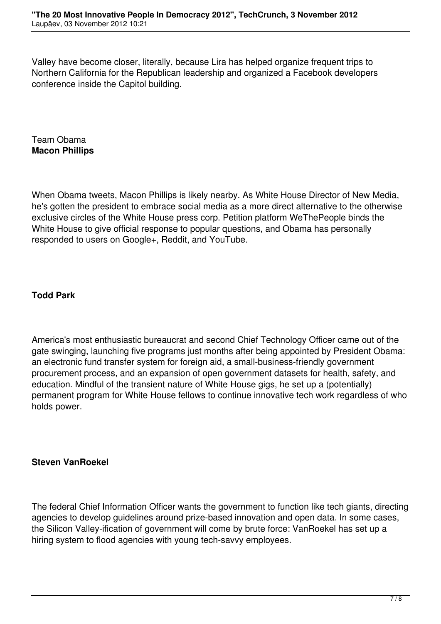Valley have become closer, literally, because Lira has helped organize frequent trips to Northern California for the Republican leadership and organized a Facebook developers conference inside the Capitol building.

Team Obama **Macon Phillips**

When Obama tweets, Macon Phillips is likely nearby. As White House Director of New Media, he's gotten the president to embrace social media as a more direct alternative to the otherwise exclusive circles of the White House press corp. Petition platform WeThePeople binds the White House to give official response to popular questions, and Obama has personally responded to users on Google+, Reddit, and YouTube.

# **Todd Park**

America's most enthusiastic bureaucrat and second Chief Technology Officer came out of the gate swinging, launching five programs just months after being appointed by President Obama: an electronic fund transfer system for foreign aid, a small-business-friendly government procurement process, and an expansion of open government datasets for health, safety, and education. Mindful of the transient nature of White House gigs, he set up a (potentially) permanent program for White House fellows to continue innovative tech work regardless of who holds power.

# **Steven VanRoekel**

The federal Chief Information Officer wants the government to function like tech giants, directing agencies to develop guidelines around prize-based innovation and open data. In some cases, the Silicon Valley-ification of government will come by brute force: VanRoekel has set up a hiring system to flood agencies with young tech-savvy employees.